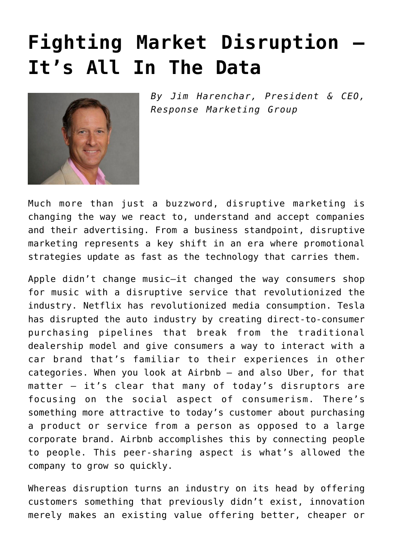## **[Fighting Market Disruption –](https://www.commpro.biz/fighting-market-disruption-its-all-in-the-data/) [It's All In The Data](https://www.commpro.biz/fighting-market-disruption-its-all-in-the-data/)**



*By Jim Harenchar, President & CEO, [Response Marketing Group](https://response.com/)*

Much more than just a buzzword, disruptive [marketing](https://www.commpro.biz/marketing-section/) is changing the way we react to, understand and accept companies and their advertising. From a business standpoint, disruptive marketing represents a key shift in an era where promotional strategies update as fast as the technology that carries them.

Apple didn't change music—it changed the way consumers shop for music with a disruptive service that revolutionized the industry. Netflix has revolutionized media consumption. Tesla has disrupted the auto industry by creating direct-to-consumer purchasing pipelines that break from the traditional dealership model and give consumers a way to interact with a car brand that's familiar to their experiences in other categories. When you look at Airbnb — and also Uber, for that matter — it's clear that many of today's disruptors are focusing on the social aspect of consumerism. There's something more attractive to today's customer about purchasing a product or service from a person as opposed to a large corporate brand. Airbnb accomplishes this by connecting people to people. This peer-sharing aspect is what's allowed the company to grow so quickly.

Whereas disruption turns an industry on its head by offering customers something that previously didn't exist, innovation merely makes an existing value offering better, cheaper or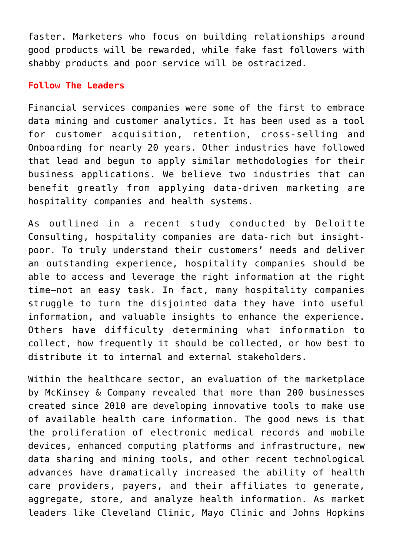faster. Marketers who focus on building relationships around good products will be rewarded, while fake fast followers with shabby products and poor service will be ostracized.

## **Follow The Leaders**

Financial services companies were some of the first to embrace data mining and customer analytics. It has been used as a tool for customer acquisition, retention, cross-selling and Onboarding for nearly 20 years. Other industries have followed that lead and begun to apply similar methodologies for their business applications. We believe two industries that can benefit greatly from applying data-driven marketing are hospitality companies and health systems.

As outlined in a recent study conducted by Deloitte Consulting, hospitality companies are data-rich but insightpoor. To truly understand their customers' needs and deliver an outstanding experience, hospitality companies should be able to access and leverage the right information at the right time–not an easy task. In fact, many hospitality companies struggle to turn the disjointed data they have into useful information, and valuable insights to enhance the experience. Others have difficulty determining what information to collect, how frequently it should be collected, or how best to distribute it to internal and external stakeholders.

Within the healthcare sector, an evaluation of the marketplace by McKinsey & Company revealed that more than 200 businesses created since 2010 are developing innovative tools to make use of available health care information. The good news is that the proliferation of electronic medical records and mobile devices, enhanced computing platforms and infrastructure, new data sharing and mining tools, and other recent technological advances have dramatically increased the ability of health care providers, payers, and their affiliates to generate, aggregate, store, and analyze health information. As market leaders like Cleveland Clinic, Mayo Clinic and Johns Hopkins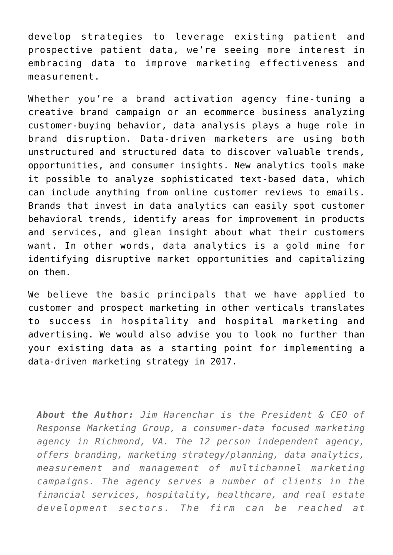develop strategies to leverage existing patient and prospective patient data, we're seeing more interest in embracing data to improve marketing effectiveness and measurement.

Whether you're a brand activation agency fine-tuning a creative brand campaign or an ecommerce business analyzing customer-buying behavior, data analysis plays a huge role in brand disruption. Data-driven marketers are using both unstructured and structured data to discover valuable trends, opportunities, and consumer insights. New analytics tools make it possible to analyze sophisticated text-based data, which can include anything from online customer reviews to emails. Brands that invest in data analytics can easily spot customer behavioral trends, identify areas for improvement in products and services, and glean insight about what their customers want. In other words, data analytics is a gold mine for identifying disruptive market opportunities and capitalizing on them.

We believe the basic principals that we have applied to customer and prospect marketing in other verticals translates to success in hospitality and hospital marketing and advertising. We would also advise you to look no further than your existing data as a starting point for implementing a data-driven marketing strategy in 2017.

*About the Author: Jim Harenchar is the President & CEO of Response Marketing Group, a consumer-data focused marketing agency in Richmond, VA. The 12 person independent agency, offers branding, marketing strategy/planning, data analytics, measurement and management of multichannel marketing campaigns. The agency serves a number of clients in the financial services, hospitality, healthcare, and real estate development sectors. The firm can be reached at*